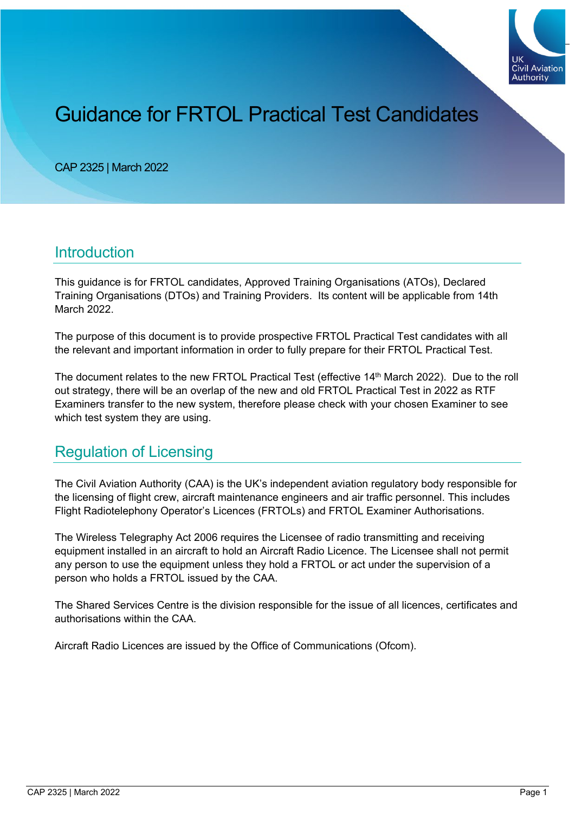

# Guidance for FRTOL Practical Test Candidates

CAP 2325 | March 2022

#### **Introduction**

This guidance is for FRTOL candidates, Approved Training Organisations (ATOs), Declared Training Organisations (DTOs) and Training Providers. Its content will be applicable from 14th March 2022.

The purpose of this document is to provide prospective FRTOL Practical Test candidates with all the relevant and important information in order to fully prepare for their FRTOL Practical Test.

The document relates to the new FRTOL Practical Test (effective 14th March 2022). Due to the roll out strategy, there will be an overlap of the new and old FRTOL Practical Test in 2022 as RTF Examiners transfer to the new system, therefore please check with your chosen Examiner to see which test system they are using.

#### Regulation of Licensing

The Civil Aviation Authority (CAA) is the UK's independent aviation regulatory body responsible for the licensing of flight crew, aircraft maintenance engineers and air traffic personnel. This includes Flight Radiotelephony Operator's Licences (FRTOLs) and FRTOL Examiner Authorisations.

The Wireless Telegraphy Act 2006 requires the Licensee of radio transmitting and receiving equipment installed in an aircraft to hold an Aircraft Radio Licence. The Licensee shall not permit any person to use the equipment unless they hold a FRTOL or act under the supervision of a person who holds a FRTOL issued by the CAA.

The Shared Services Centre is the division responsible for the issue of all licences, certificates and authorisations within the CAA.

Aircraft Radio Licences are issued by the Office of Communications (Ofcom).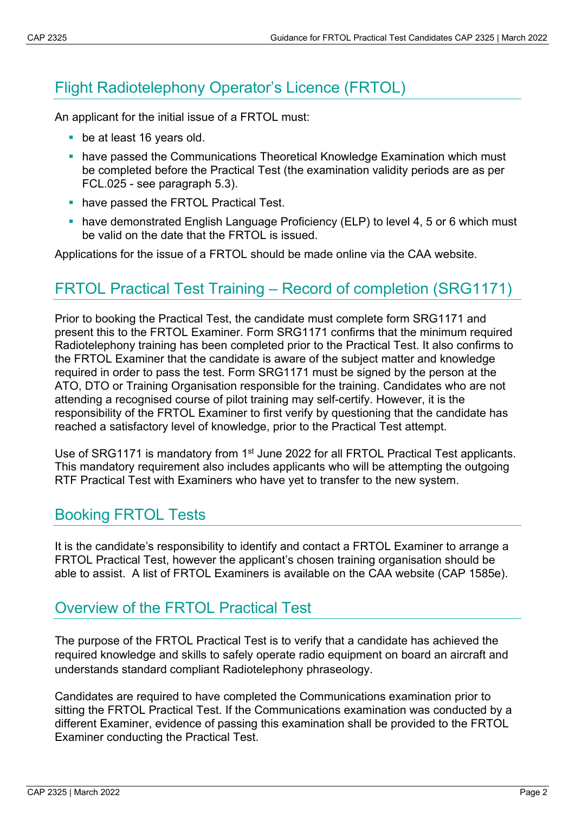## Flight Radiotelephony Operator's Licence (FRTOL)

An applicant for the initial issue of a FRTOL must:

- **be at least 16 years old.**
- have passed the Communications Theoretical Knowledge Examination which must be completed before the Practical Test (the examination validity periods are as per FCL.025 - see paragraph 5.3).
- **have passed the FRTOL Practical Test.**
- have demonstrated English Language Proficiency (ELP) to level 4, 5 or 6 which must be valid on the date that the FRTOL is issued.

Applications for the issue of a FRTOL should be made online via the CAA website.

### FRTOL Practical Test Training – Record of completion (SRG1171)

Prior to booking the Practical Test, the candidate must complete form SRG1171 and present this to the FRTOL Examiner. Form SRG1171 confirms that the minimum required Radiotelephony training has been completed prior to the Practical Test. It also confirms to the FRTOL Examiner that the candidate is aware of the subject matter and knowledge required in order to pass the test. Form SRG1171 must be signed by the person at the ATO, DTO or Training Organisation responsible for the training. Candidates who are not attending a recognised course of pilot training may self-certify. However, it is the responsibility of the FRTOL Examiner to first verify by questioning that the candidate has reached a satisfactory level of knowledge, prior to the Practical Test attempt.

Use of SRG1171 is mandatory from 1<sup>st</sup> June 2022 for all FRTOL Practical Test applicants. This mandatory requirement also includes applicants who will be attempting the outgoing RTF Practical Test with Examiners who have yet to transfer to the new system.

#### Booking FRTOL Tests

It is the candidate's responsibility to identify and contact a FRTOL Examiner to arrange a FRTOL Practical Test, however the applicant's chosen training organisation should be able to assist. A list of FRTOL Examiners is available on the CAA website (CAP 1585e).

#### Overview of the FRTOL Practical Test

The purpose of the FRTOL Practical Test is to verify that a candidate has achieved the required knowledge and skills to safely operate radio equipment on board an aircraft and understands standard compliant Radiotelephony phraseology.

Candidates are required to have completed the Communications examination prior to sitting the FRTOL Practical Test. If the Communications examination was conducted by a different Examiner, evidence of passing this examination shall be provided to the FRTOL Examiner conducting the Practical Test.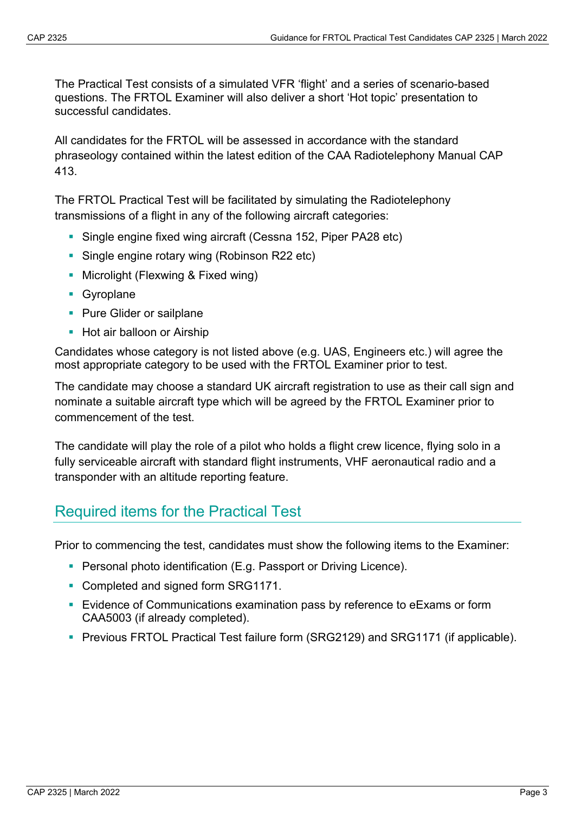The Practical Test consists of a simulated VFR 'flight' and a series of scenario-based questions. The FRTOL Examiner will also deliver a short 'Hot topic' presentation to successful candidates.

All candidates for the FRTOL will be assessed in accordance with the standard phraseology contained within the latest edition of the CAA Radiotelephony Manual CAP 413.

The FRTOL Practical Test will be facilitated by simulating the Radiotelephony transmissions of a flight in any of the following aircraft categories:

- Single engine fixed wing aircraft (Cessna 152, Piper PA28 etc)
- **Single engine rotary wing (Robinson R22 etc)**
- **Microlight (Flexwing & Fixed wing)**
- **Gyroplane**
- **Pure Glider or sailplane**
- **Hot air balloon or Airship**

Candidates whose category is not listed above (e.g. UAS, Engineers etc.) will agree the most appropriate category to be used with the FRTOL Examiner prior to test.

The candidate may choose a standard UK aircraft registration to use as their call sign and nominate a suitable aircraft type which will be agreed by the FRTOL Examiner prior to commencement of the test.

The candidate will play the role of a pilot who holds a flight crew licence, flying solo in a fully serviceable aircraft with standard flight instruments, VHF aeronautical radio and a transponder with an altitude reporting feature.

#### Required items for the Practical Test

Prior to commencing the test, candidates must show the following items to the Examiner:

- **Personal photo identification (E.g. Passport or Driving Licence).**
- Completed and signed form SRG1171.
- Evidence of Communications examination pass by reference to eExams or form CAA5003 (if already completed).
- **Previous FRTOL Practical Test failure form (SRG2129) and SRG1171 (if applicable).**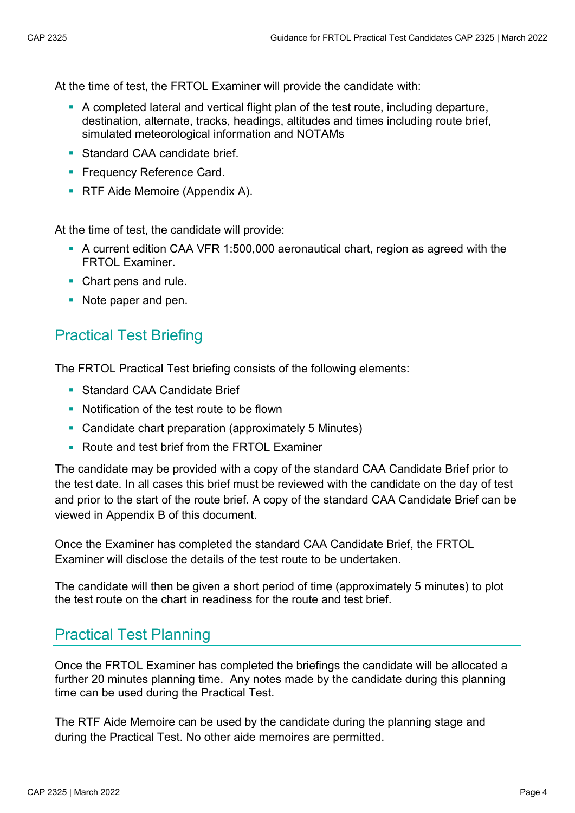At the time of test, the FRTOL Examiner will provide the candidate with:

- A completed lateral and vertical flight plan of the test route, including departure, destination, alternate, tracks, headings, altitudes and times including route brief, simulated meteorological information and NOTAMs
- Standard CAA candidate brief.
- **Frequency Reference Card.**
- **RTF Aide Memoire (Appendix A).**

At the time of test, the candidate will provide:

- A current edition CAA VFR 1:500,000 aeronautical chart, region as agreed with the FRTOL Examiner.
- Chart pens and rule.
- Note paper and pen.

#### Practical Test Briefing

The FRTOL Practical Test briefing consists of the following elements:

- Standard CAA Candidate Brief
- Notification of the test route to be flown
- Candidate chart preparation (approximately 5 Minutes)
- Route and test brief from the FRTOL Examiner

The candidate may be provided with a copy of the standard CAA Candidate Brief prior to the test date. In all cases this brief must be reviewed with the candidate on the day of test and prior to the start of the route brief. A copy of the standard CAA Candidate Brief can be viewed in Appendix B of this document.

Once the Examiner has completed the standard CAA Candidate Brief, the FRTOL Examiner will disclose the details of the test route to be undertaken.

The candidate will then be given a short period of time (approximately 5 minutes) to plot the test route on the chart in readiness for the route and test brief.

#### Practical Test Planning

Once the FRTOL Examiner has completed the briefings the candidate will be allocated a further 20 minutes planning time. Any notes made by the candidate during this planning time can be used during the Practical Test.

The RTF Aide Memoire can be used by the candidate during the planning stage and during the Practical Test. No other aide memoires are permitted.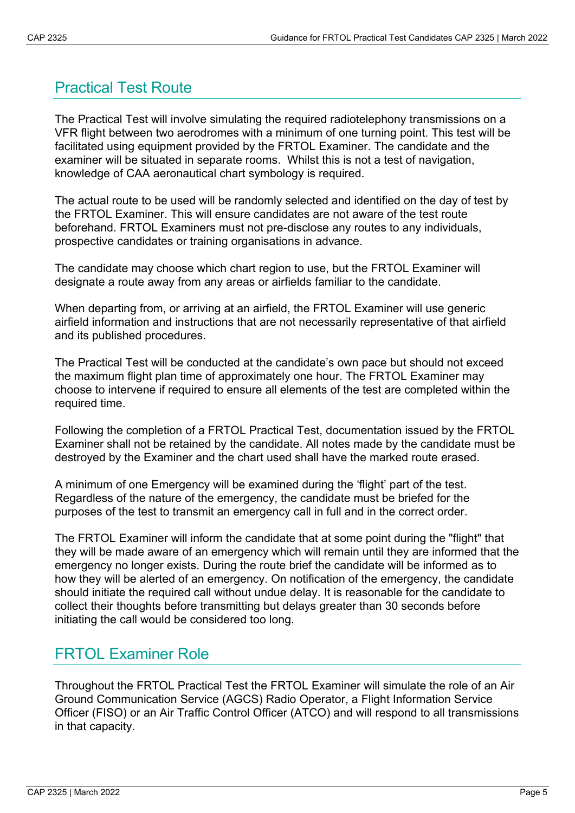### Practical Test Route

The Practical Test will involve simulating the required radiotelephony transmissions on a VFR flight between two aerodromes with a minimum of one turning point. This test will be facilitated using equipment provided by the FRTOL Examiner. The candidate and the examiner will be situated in separate rooms. Whilst this is not a test of navigation, knowledge of CAA aeronautical chart symbology is required.

The actual route to be used will be randomly selected and identified on the day of test by the FRTOL Examiner. This will ensure candidates are not aware of the test route beforehand. FRTOL Examiners must not pre-disclose any routes to any individuals, prospective candidates or training organisations in advance.

The candidate may choose which chart region to use, but the FRTOL Examiner will designate a route away from any areas or airfields familiar to the candidate.

When departing from, or arriving at an airfield, the FRTOL Examiner will use generic airfield information and instructions that are not necessarily representative of that airfield and its published procedures.

The Practical Test will be conducted at the candidate's own pace but should not exceed the maximum flight plan time of approximately one hour. The FRTOL Examiner may choose to intervene if required to ensure all elements of the test are completed within the required time.

Following the completion of a FRTOL Practical Test, documentation issued by the FRTOL Examiner shall not be retained by the candidate. All notes made by the candidate must be destroyed by the Examiner and the chart used shall have the marked route erased.

A minimum of one Emergency will be examined during the 'flight' part of the test. Regardless of the nature of the emergency, the candidate must be briefed for the purposes of the test to transmit an emergency call in full and in the correct order.

The FRTOL Examiner will inform the candidate that at some point during the "flight" that they will be made aware of an emergency which will remain until they are informed that the emergency no longer exists. During the route brief the candidate will be informed as to how they will be alerted of an emergency. On notification of the emergency, the candidate should initiate the required call without undue delay. It is reasonable for the candidate to collect their thoughts before transmitting but delays greater than 30 seconds before initiating the call would be considered too long.

#### FRTOL Examiner Role

Throughout the FRTOL Practical Test the FRTOL Examiner will simulate the role of an Air Ground Communication Service (AGCS) Radio Operator, a Flight Information Service Officer (FISO) or an Air Traffic Control Officer (ATCO) and will respond to all transmissions in that capacity.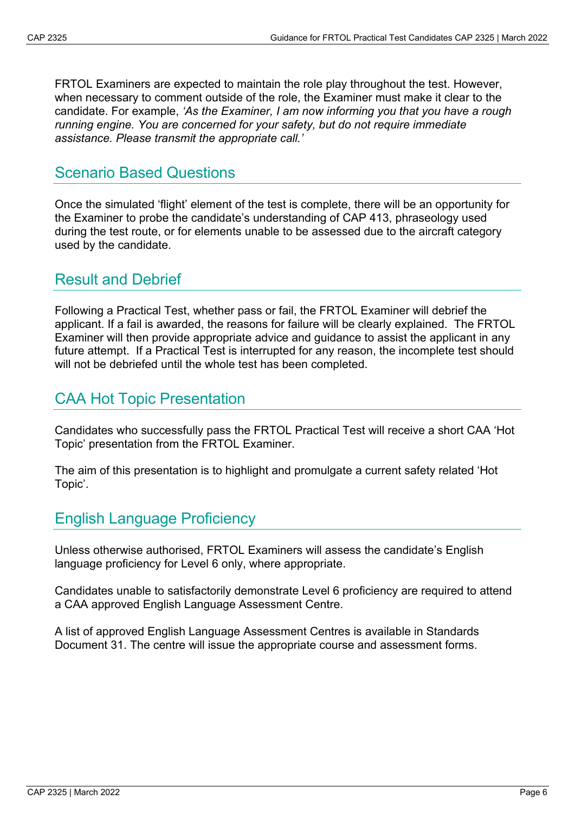FRTOL Examiners are expected to maintain the role play throughout the test. However, when necessary to comment outside of the role, the Examiner must make it clear to the candidate. For example, *'As the Examiner, I am now informing you that you have a rough running engine. You are concerned for your safety, but do not require immediate assistance. Please transmit the appropriate call.'* 

#### Scenario Based Questions

Once the simulated 'flight' element of the test is complete, there will be an opportunity for the Examiner to probe the candidate's understanding of CAP 413, phraseology used during the test route, or for elements unable to be assessed due to the aircraft category used by the candidate.

#### Result and Debrief

Following a Practical Test, whether pass or fail, the FRTOL Examiner will debrief the applicant. If a fail is awarded, the reasons for failure will be clearly explained. The FRTOL Examiner will then provide appropriate advice and guidance to assist the applicant in any future attempt. If a Practical Test is interrupted for any reason, the incomplete test should will not be debriefed until the whole test has been completed.

### CAA Hot Topic Presentation

Candidates who successfully pass the FRTOL Practical Test will receive a short CAA 'Hot Topic' presentation from the FRTOL Examiner.

The aim of this presentation is to highlight and promulgate a current safety related 'Hot Topic'.

#### English Language Proficiency

Unless otherwise authorised, FRTOL Examiners will assess the candidate's English language proficiency for Level 6 only, where appropriate.

Candidates unable to satisfactorily demonstrate Level 6 proficiency are required to attend a CAA approved English Language Assessment Centre.

A list of approved English Language Assessment Centres is available in Standards Document 31. The centre will issue the appropriate course and assessment forms.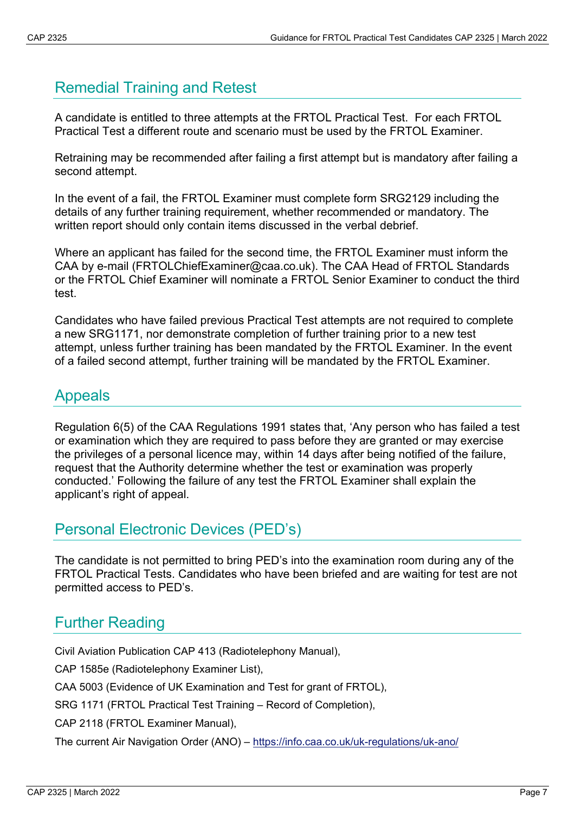### Remedial Training and Retest

A candidate is entitled to three attempts at the FRTOL Practical Test. For each FRTOL Practical Test a different route and scenario must be used by the FRTOL Examiner.

Retraining may be recommended after failing a first attempt but is mandatory after failing a second attempt.

In the event of a fail, the FRTOL Examiner must complete form SRG2129 including the details of any further training requirement, whether recommended or mandatory. The written report should only contain items discussed in the verbal debrief.

Where an applicant has failed for the second time, the FRTOL Examiner must inform the CAA by e-mail (FRTOLChiefExaminer@caa.co.uk). The CAA Head of FRTOL Standards or the FRTOL Chief Examiner will nominate a FRTOL Senior Examiner to conduct the third test.

Candidates who have failed previous Practical Test attempts are not required to complete a new SRG1171, nor demonstrate completion of further training prior to a new test attempt, unless further training has been mandated by the FRTOL Examiner. In the event of a failed second attempt, further training will be mandated by the FRTOL Examiner.

#### Appeals

Regulation 6(5) of the CAA Regulations 1991 states that, 'Any person who has failed a test or examination which they are required to pass before they are granted or may exercise the privileges of a personal licence may, within 14 days after being notified of the failure, request that the Authority determine whether the test or examination was properly conducted.' Following the failure of any test the FRTOL Examiner shall explain the applicant's right of appeal.

#### Personal Electronic Devices (PED's)

The candidate is not permitted to bring PED's into the examination room during any of the FRTOL Practical Tests. Candidates who have been briefed and are waiting for test are not permitted access to PED's.

### Further Reading

Civil Aviation Publication CAP 413 (Radiotelephony Manual),

CAP 1585e (Radiotelephony Examiner List),

CAA 5003 (Evidence of UK Examination and Test for grant of FRTOL),

SRG 1171 (FRTOL Practical Test Training – Record of Completion),

CAP 2118 (FRTOL Examiner Manual),

The current Air Navigation Order (ANO) – <https://info.caa.co.uk/uk-regulations/uk-ano/>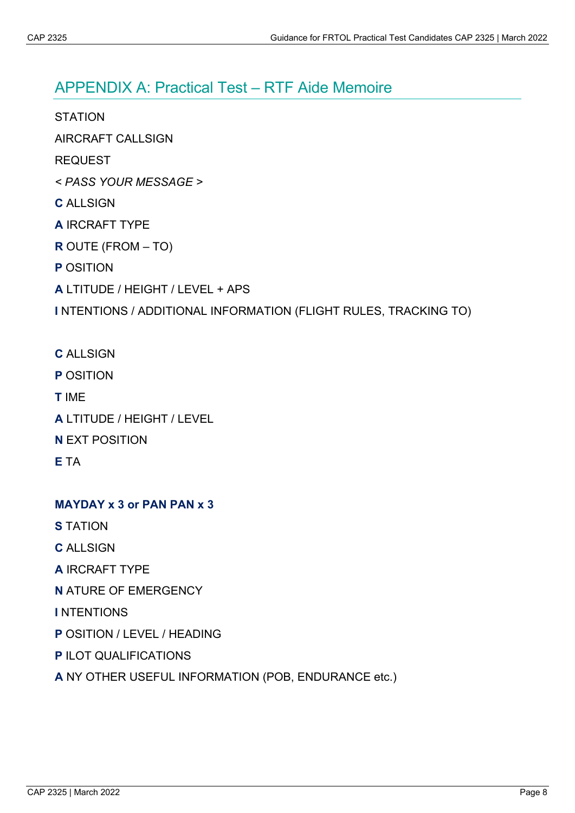#### APPENDIX A: Practical Test – RTF Aide Memoire

**STATION** 

AIRCRAFT CALLSIGN

- REQUEST
- *< PASS YOUR MESSAGE >*
- **C** ALLSIGN
- **A** IRCRAFT TYPE
- **R** OUTE (FROM TO)
- **P** OSITION
- **A** LTITUDE / HEIGHT / LEVEL + APS

#### **I** NTENTIONS / ADDITIONAL INFORMATION (FLIGHT RULES, TRACKING TO)

- **C** ALLSIGN
- **P** OSITION
- **T** IME
- **A** LTITUDE / HEIGHT / LEVEL
- **N** EXT POSITION
- **E** TA

#### **MAYDAY x 3 or PAN PAN x 3**

- **S** TATION
- **C** ALLSIGN
- **A** IRCRAFT TYPE
- **N** ATURE OF EMERGENCY
- **I** NTENTIONS
- **P** OSITION / LEVEL / HEADING
- **P** ILOT QUALIFICATIONS
- **A** NY OTHER USEFUL INFORMATION (POB, ENDURANCE etc.)